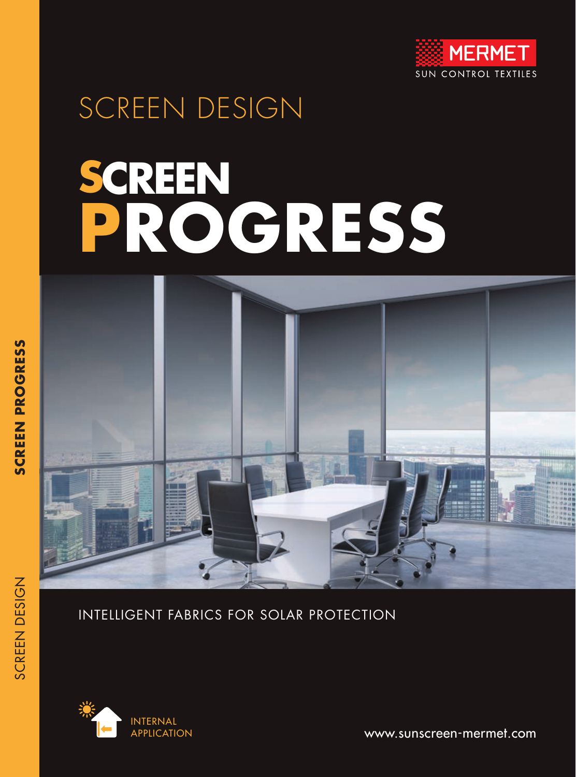

## SCREEN DESIGN

# **SCREEN PROGRESS**



#### INTELLIGENT FABRICS FOR SOLAR PROTECTION



www.sunscreen-mermet.com

SCREEN DESIGN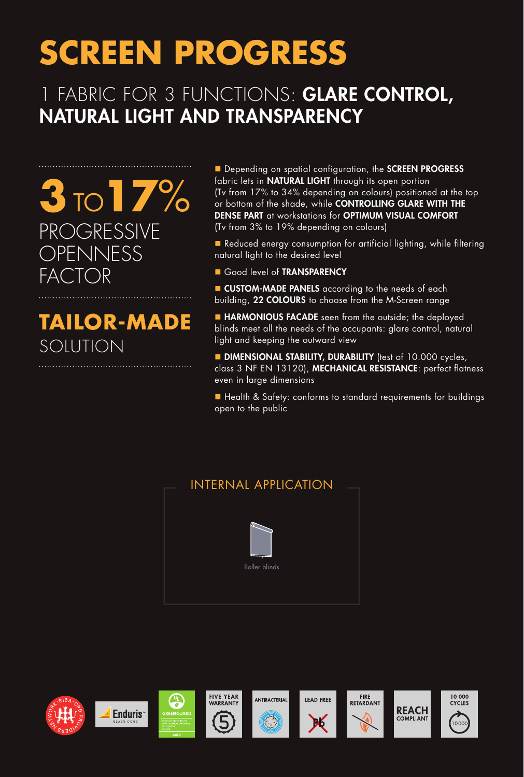## **SCREEN PROGRESS**

#### FABRIC FOR 3 FUNCTIONS: GLARE CONTROL, NATURAL LIGHT AND TRANSPARENCY

**3**TO**17**% PROGRESSIVE OPENNESS FACTOR

### **TAILOR-MADE**  SOLUTION

Depending on spatial configuration, the SCREEN PROGRESS fabric lets in **NATURAL LIGHT** through its open portion (Tv from 17% to 34% depending on colours) positioned at the top or bottom of the shade, while CONTROLLING GLARE WITH THE DENSE PART at workstations for OPTIMUM VISUAL COMFORT (Tv from 3% to 19% depending on colours)

**n** Reduced energy consumption for artificial lighting, while filtering natural light to the desired level

Good level of **TRANSPARENCY** 

**CUSTOM-MADE PANELS** according to the needs of each building, 22 COLOURS to choose from the M-Screen range

**HARMONIOUS FACADE** seen from the outside; the deployed blinds meet all the needs of the occupants: glare control, natural light and keeping the outward view

**DIMENSIONAL STABILITY, DURABILITY** (test of 10.000 cycles, class 3 NF EN 13120), MECHANICAL RESISTANCE: perfect flatness even in large dimensions

n Health & Safety: conforms to standard requirements for buildings open to the public

#### INTERNAL APPLICATION



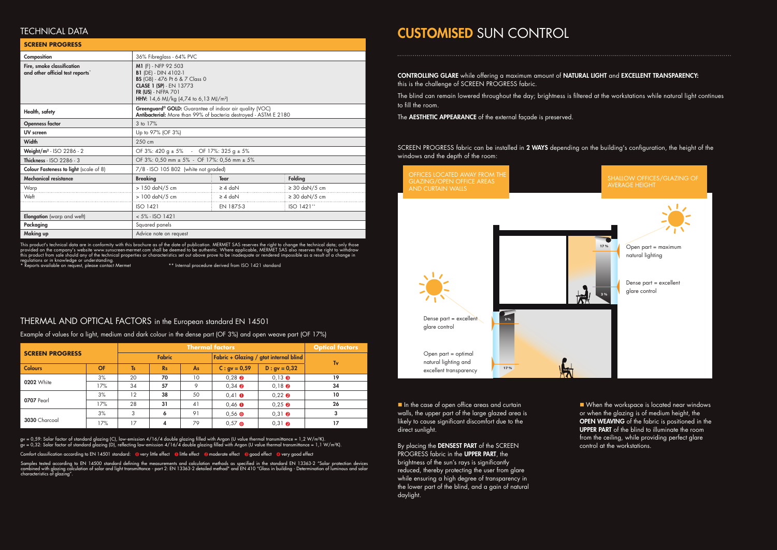| <b>SCREEN PROGRESS</b> |           | <b>Thermal factors</b> |           |    |                                        |                                  | <b>Optical factors</b> |
|------------------------|-----------|------------------------|-----------|----|----------------------------------------|----------------------------------|------------------------|
|                        |           | <b>Fabric</b>          |           |    | Fabric + Glazing / gtot internal blind |                                  | Tv                     |
| <b>Colours</b>         | <b>OF</b> | <b>Ts</b>              | <b>Rs</b> | As | $C: gv = 0.59$                         | $D : gv = 0,32$                  |                        |
|                        | 3%        | 20                     | 70        | 10 | $0.28$ <b><math>\odot</math></b>       | $0.13 \cdot \bullet$             | 19                     |
| <b>0202</b> White      | 17%       | 34                     | 57        | 9  | $0,34$ <b><math>\odot</math></b>       | $0,18$ $\odot$                   | 34                     |
|                        | 3%        | 12                     | 38        | 50 | $0.41 \bullet$                         | $0.22 \cdot$                     | 10                     |
| 0707 Pearl             | 17%       | 28                     | 31        | 41 | $0,46$ $\bullet$                       | $0,25$ $\odot$                   | 26                     |
|                        | 3%        | 3                      | 6         | 91 | $0,56$ $\odot$                         | $0,31$ <b><math>\odot</math></b> | 3                      |
| 3030 Charcoal          | 17%       | 17                     | 4         | 79 | $0,57$ O                               | $0.31$ <b>Q</b>                  | 17                     |

■ When the workspace is located near windows or when the glazing is of medium height, the OPEN WEAVING of the fabric is positioned in the UPPER PART of the blind to illuminate the room from the ceiling, while providing perfect glare control at the workstations.

In the case of open office areas and curtain walls, the upper part of the large glazed area is likely to cause significant discomfort due to the direct sunlight.

By placing the DENSEST PART of the SCREEN PROGRESS fabric in the **UPPER PART**, the brightness of the sun's rays is significantly reduced, thereby protecting the user from glare

This product's technical data are in conformity with this brochure as of the date of publication. MERMET SAS reserves the right to change the technical data; only those provided on the company's website www.sunscreen-mermet.com shall be deemed to be authentic. Where applicable, MERMET SAS also reserves the right to withdraw this product from sale should any of the technical properties or characteristics set out above prove to be inadequate or rendered impossible as a result of a change in regulations or in knowledge or understanding.<br>\* Reports available on request, please contact Mermet \*\* \* Internal procedure derived from ISO 1421 standard

while ensuring a high degree of transparency in the lower part of the blind, and a gain of natural daylight.

### CUSTOMISED SUN CONTROL

SCREEN PROGRESS fabric can be installed in 2 WAYS depending on the building's configuration, the height of the windows and the depth of the room:

#### TECHNICAL DATA

#### THERMAL AND OPTICAL FACTORS in the European standard EN 14501

gv = 0,59: Solar factor of standard glazing (C), low-emission 4/16/4 double glazing filled with Argon (U value thermal transmittance = 1,2 W/m²K). gv = 0,32: Solar factor of standard glazing (D), reflecting low-emission 4/16/4 double glazing filled with Argon (U value thermal transmittance = 1,1 W/m²K).

Comfort classification according to EN 14501 standard:  $\bullet$  very little effect  $\bullet$  ilitle effect  $\bullet$  moderate effect  $\bullet$  good effect  $\bullet$  very good effect

| <b>SCREEN PROGRESS</b>                                         |                                                                                                                                                                                                                        |              |                    |  |  |  |
|----------------------------------------------------------------|------------------------------------------------------------------------------------------------------------------------------------------------------------------------------------------------------------------------|--------------|--------------------|--|--|--|
| Composition                                                    | 36% Fibreglass - 64% PVC                                                                                                                                                                                               |              |                    |  |  |  |
| Fire, smoke classification<br>and other official test reports* | M1 (F) - NFP 92 503<br><b>B1</b> (DE) - DIN 4102-1<br><b>BS</b> (GB) - 476 Pt 6 & 7 Class 0<br><b>CLASE 1 (SP)</b> - EN 13773<br><b>FR (US)</b> - NFPA 701<br><b>HHV:</b> 14,6 MJ/kg (4,74 to 6,13 MJ/m <sup>2</sup> ) |              |                    |  |  |  |
| Health, safety                                                 | Greenguard® GOLD: Guarantee of indoor air quality (VOC)<br>Antibacterial: More than 99% of bacteria destroyed - ASTM E 2180                                                                                            |              |                    |  |  |  |
| <b>Openness factor</b>                                         | 3 to 17%                                                                                                                                                                                                               |              |                    |  |  |  |
| <b>UV</b> screen                                               | Up to 97% (OF 3%)                                                                                                                                                                                                      |              |                    |  |  |  |
| Width                                                          | 250 cm                                                                                                                                                                                                                 |              |                    |  |  |  |
| Weight/ $m2$ - ISO 2286 - 2                                    | OF 3%: 420 g $\pm$ 5% - OF 17%: 325 g $\pm$ 5%                                                                                                                                                                         |              |                    |  |  |  |
| Thickness - ISO 2286 - 3                                       | OF 3%: 0,50 mm ± 5% - OF 17%: 0,56 mm ± 5%                                                                                                                                                                             |              |                    |  |  |  |
| <b>Colour Fasteness to light</b> (scale of 8)                  | 7/8 - ISO 105 B02 (white not graded)                                                                                                                                                                                   |              |                    |  |  |  |
| <b>Mechanical resistance</b>                                   | <b>Breaking</b>                                                                                                                                                                                                        | <b>Tear</b>  | <b>Folding</b>     |  |  |  |
| Warp                                                           | > 150 daN/5 cm                                                                                                                                                                                                         | $\geq 4$ daN | $\geq$ 30 daN/5 cm |  |  |  |
| Weft                                                           | $> 100$ daN/5 cm                                                                                                                                                                                                       | $\geq 4$ daN | $\geq$ 30 daN/5 cm |  |  |  |
|                                                                | ISO 1421                                                                                                                                                                                                               | EN 1875-3    | ISO 1421**         |  |  |  |
| Elongation (warp and weft)                                     | $< 5\%$ - ISO 1421                                                                                                                                                                                                     |              |                    |  |  |  |
| Packaging                                                      | Squared panels                                                                                                                                                                                                         |              |                    |  |  |  |
| Making up                                                      | Advice note on request                                                                                                                                                                                                 |              |                    |  |  |  |



Samples tested according to EN 14500 standard defining the measurements and calculation methods as specified in the standard EN 13363-2 "Solar protection devices combined with glazing calculation of solar and light transmittance - part 2: EN 13363-2 detailed method" and EN 410 "Glass in building - Determination of luminous and solar characteristics of glazing".

OFFICES LOCATED AWAY FROM THE GLAZING/OPEN OFFICE AREAS AND CURTAIN WALLS

Example of values for a light, medium and dark colour in the dense part (OF 3%) and open weave part (OF 17%)

CONTROLLING GLARE while offering a maximum amount of NATURAL LIGHT and EXCELLENT TRANSPARENCY: this is the challenge of SCREEN PROGRESS fabric.

The blind can remain lowered throughout the day; brightness is filtered at the workstations while natural light continues to fill the room.

The **AESTHETIC APPEARANCE** of the external façade is preserved.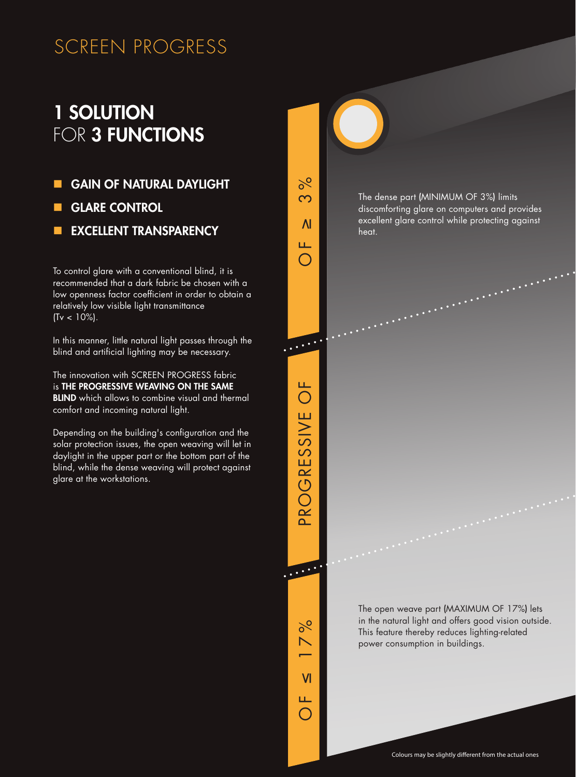#### SCREEN PROGRESS

#### 1 SOLUTION FOR 3 FUNCTIONS

- **GAIN OF NATURAL DAYLIGHT**
- **GLARE CONTROL**
- **N EXCELLENT TRANSPARENCY**

To control glare with a conventional blind, it is recommended that a dark fabric be chosen with a low openness factor coefficient in order to obtain a relatively low visible light transmittance  $(Tv < 10\%).$ 

In this manner, little natural light passes through the blind and artificial lighting may be necessary.

The innovation with SCREEN PROGRESS fabric is THE PROGRESSIVE WEAVING ON THE SAME **BLIND** which allows to combine visual and thermal comfort and incoming natural light.

Depending on the building's configuration and the solar protection issues, the open weaving will let in daylight in the upper part or the bottom part of the blind, while the dense weaving will protect against glare at the workstations.

 $\overline{\mathsf{M}}$ ≤ 17% OF Ш.  $\bigcap$ 

3 %

PROGRESSIVE OF

PROGRESSIVE OF

....

 $\delta$ 

 $\overline{O}$ 

 $\overline{M}$ 

The dense part (MINIMUM OF 3%) limits discomforting glare on computers and provides excellent glare control while protecting against heat.

The open weave part (MAXIMUM OF 17%) lets in the natural light and offers good vision outside. This feature thereby reduces lighting-related power consumption in buildings.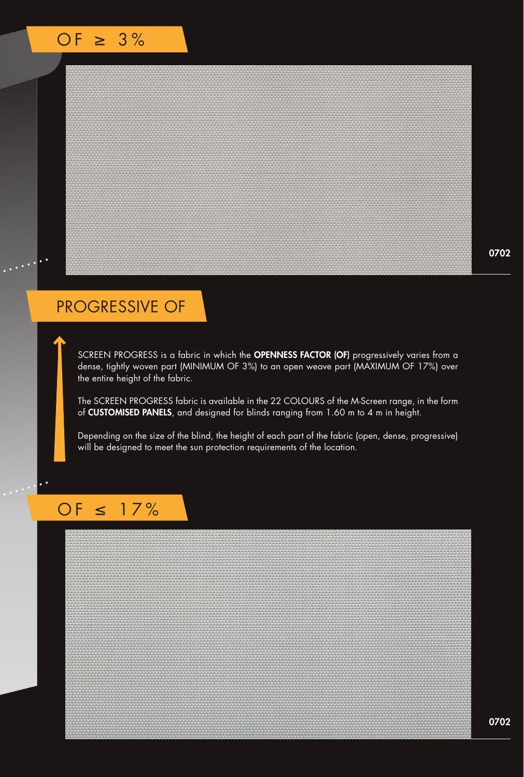#### PROGRESSIVE OF

SCREEN PROGRESS is a fabric in which the OPENNESS FACTOR (OF) progressively varies from a dense, tightly woven part (MINIMUM OF 3%) to an open weave part (MAXIMUM OF 17%) over the entire height of the fabric.

The SCREEN PROGRESS fabric is available in the 22 COLOURS of the M-Screen range, in the form of CUSTOMISED PANELS, and designed for blinds ranging from 1.60 m to 4 m in height.

Depending on the size of the blind, the height of each part of the fabric (open, dense, progressive) will be designed to meet the sun protection requirements of the location.

#### OF ≤ 17%